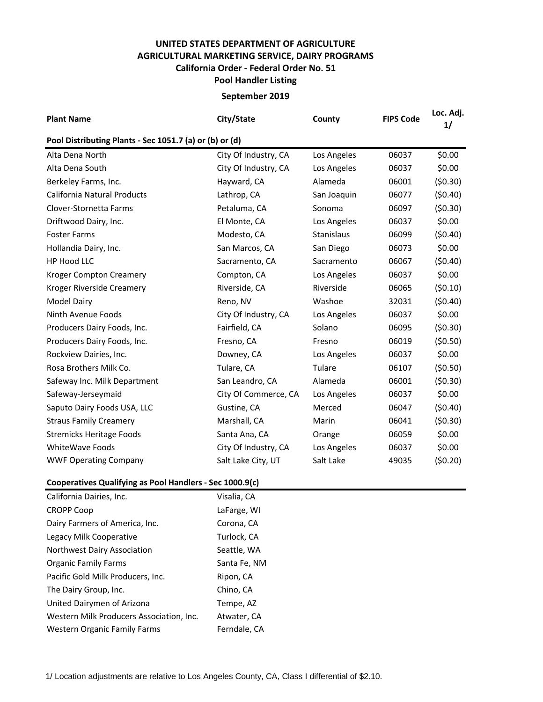## **UNITED STATES DEPARTMENT OF AGRICULTURE AGRICULTURAL MARKETING SERVICE, DAIRY PROGRAMS Pool Handler Listing California Order - Federal Order No. 51**

## **September 2019**

| <b>Plant Name</b>                                       | City/State           | County      | <b>FIPS Code</b> | Loc. Adj.<br>1/ |  |  |  |  |  |
|---------------------------------------------------------|----------------------|-------------|------------------|-----------------|--|--|--|--|--|
| Pool Distributing Plants - Sec 1051.7 (a) or (b) or (d) |                      |             |                  |                 |  |  |  |  |  |
| Alta Dena North                                         | City Of Industry, CA | Los Angeles | 06037            | \$0.00          |  |  |  |  |  |
| Alta Dena South                                         | City Of Industry, CA | Los Angeles | 06037            | \$0.00          |  |  |  |  |  |
| Berkeley Farms, Inc.                                    | Hayward, CA          | Alameda     | 06001            | (50.30)         |  |  |  |  |  |
| California Natural Products                             | Lathrop, CA          | San Joaquin | 06077            | (50.40)         |  |  |  |  |  |
| Clover-Stornetta Farms                                  | Petaluma, CA         | Sonoma      | 06097            | (50.30)         |  |  |  |  |  |
| Driftwood Dairy, Inc.                                   | El Monte, CA         | Los Angeles | 06037            | \$0.00          |  |  |  |  |  |
| <b>Foster Farms</b>                                     | Modesto, CA          | Stanislaus  | 06099            | (50.40)         |  |  |  |  |  |
| Hollandia Dairy, Inc.                                   | San Marcos, CA       | San Diego   | 06073            | \$0.00          |  |  |  |  |  |
| HP Hood LLC                                             | Sacramento, CA       | Sacramento  | 06067            | (50.40)         |  |  |  |  |  |
| <b>Kroger Compton Creamery</b>                          | Compton, CA          | Los Angeles | 06037            | \$0.00          |  |  |  |  |  |
| Kroger Riverside Creamery                               | Riverside, CA        | Riverside   | 06065            | (50.10)         |  |  |  |  |  |
| Model Dairy                                             | Reno, NV             | Washoe      | 32031            | (50.40)         |  |  |  |  |  |
| Ninth Avenue Foods                                      | City Of Industry, CA | Los Angeles | 06037            | \$0.00          |  |  |  |  |  |
| Producers Dairy Foods, Inc.                             | Fairfield, CA        | Solano      | 06095            | (50.30)         |  |  |  |  |  |
| Producers Dairy Foods, Inc.                             | Fresno, CA           | Fresno      | 06019            | (50.50)         |  |  |  |  |  |
| Rockview Dairies, Inc.                                  | Downey, CA           | Los Angeles | 06037            | \$0.00          |  |  |  |  |  |
| Rosa Brothers Milk Co.                                  | Tulare, CA           | Tulare      | 06107            | (50.50)         |  |  |  |  |  |
| Safeway Inc. Milk Department                            | San Leandro, CA      | Alameda     | 06001            | (50.30)         |  |  |  |  |  |
| Safeway-Jerseymaid                                      | City Of Commerce, CA | Los Angeles | 06037            | \$0.00          |  |  |  |  |  |
| Saputo Dairy Foods USA, LLC                             | Gustine, CA          | Merced      | 06047            | (50.40)         |  |  |  |  |  |
| <b>Straus Family Creamery</b>                           | Marshall, CA         | Marin       | 06041            | (50.30)         |  |  |  |  |  |
| <b>Stremicks Heritage Foods</b>                         | Santa Ana, CA        | Orange      | 06059            | \$0.00          |  |  |  |  |  |
| WhiteWave Foods                                         | City Of Industry, CA | Los Angeles | 06037            | \$0.00          |  |  |  |  |  |
| <b>WWF Operating Company</b>                            | Salt Lake City, UT   | Salt Lake   | 49035            | (50.20)         |  |  |  |  |  |

## **Cooperatives Qualifying as Pool Handlers - Sec 1000.9(c)**

| California Dairies, Inc.                 | Visalia, CA  |
|------------------------------------------|--------------|
| <b>CROPP Coop</b>                        | LaFarge, WI  |
| Dairy Farmers of America, Inc.           | Corona, CA   |
| Legacy Milk Cooperative                  | Turlock, CA  |
| Northwest Dairy Association              | Seattle, WA  |
| <b>Organic Family Farms</b>              | Santa Fe, NM |
| Pacific Gold Milk Producers, Inc.        | Ripon, CA    |
| The Dairy Group, Inc.                    | Chino, CA    |
| United Dairymen of Arizona               | Tempe, AZ    |
| Western Milk Producers Association, Inc. | Atwater, CA  |
| <b>Western Organic Family Farms</b>      | Ferndale, CA |